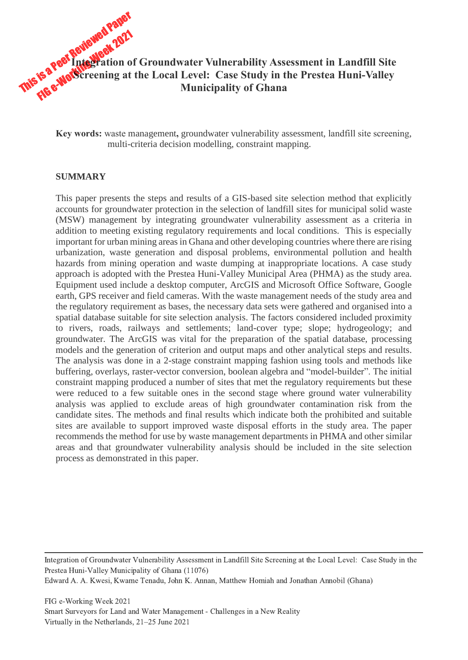

**Key words:** waste management**,** groundwater vulnerability assessment, landfill site screening, multi-criteria decision modelling, constraint mapping.

#### **SUMMARY**

This paper presents the steps and results of a GIS-based site selection method that explicitly accounts for groundwater protection in the selection of landfill sites for municipal solid waste (MSW) management by integrating groundwater vulnerability assessment as a criteria in addition to meeting existing regulatory requirements and local conditions. This is especially important for urban mining areas in Ghana and other developing countries where there are rising urbanization, waste generation and disposal problems, environmental pollution and health hazards from mining operation and waste dumping at inappropriate locations. A case study approach is adopted with the Prestea Huni-Valley Municipal Area (PHMA) as the study area. Equipment used include a desktop computer, ArcGIS and Microsoft Office Software, Google earth, GPS receiver and field cameras. With the waste management needs of the study area and the regulatory requirement as bases, the necessary data sets were gathered and organised into a spatial database suitable for site selection analysis. The factors considered included proximity to rivers, roads, railways and settlements; land-cover type; slope; hydrogeology; and groundwater. The ArcGIS was vital for the preparation of the spatial database, processing models and the generation of criterion and output maps and other analytical steps and results. The analysis was done in a 2-stage constraint mapping fashion using tools and methods like buffering, overlays, raster-vector conversion, boolean algebra and "model-builder". The initial constraint mapping produced a number of sites that met the regulatory requirements but these were reduced to a few suitable ones in the second stage where ground water vulnerability analysis was applied to exclude areas of high groundwater contamination risk from the candidate sites. The methods and final results which indicate both the prohibited and suitable sites are available to support improved waste disposal efforts in the study area. The paper recommends the method for use by waste management departments in PHMA and other similar areas and that groundwater vulnerability analysis should be included in the site selection process as demonstrated in this paper.

Integration of Groundwater Vulnerability Assessment in Landfill Site Screening at the Local Level: Case Study in the Prestea Huni-Valley Municipality of Ghana (11076) Edward A. A. Kwesi, Kwame Tenadu, John K. Annan, Matthew Homiah and Jonathan Annobil (Ghana)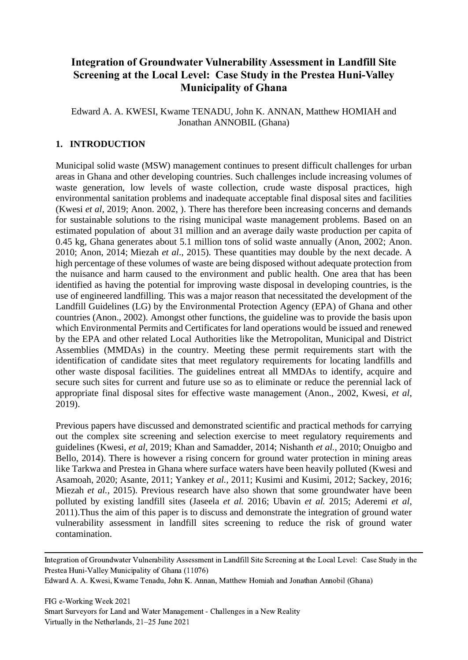# **Integration of Groundwater Vulnerability Assessment in Landfill Site Screening at the Local Level: Case Study in the Prestea Huni-Valley Municipality of Ghana**

Edward A. A. KWESI, Kwame TENADU, John K. ANNAN, Matthew HOMIAH and Jonathan ANNOBIL (Ghana)

# **1. INTRODUCTION**

Municipal solid waste (MSW) management continues to present difficult challenges for urban areas in Ghana and other developing countries. Such challenges include increasing volumes of waste generation, low levels of waste collection, crude waste disposal practices, high environmental sanitation problems and inadequate acceptable final disposal sites and facilities (Kwesi *et al,* 2019; Anon. 2002, ). There has therefore been increasing concerns and demands for sustainable solutions to the rising municipal waste management problems. Based on an estimated population of about 31 million and an average daily waste production per capita of 0.45 kg, Ghana generates about 5.1 million tons of solid waste annually (Anon, 2002; Anon. 2010; Anon, 2014; Miezah *et al*., 2015). These quantities may double by the next decade. A high percentage of these volumes of waste are being disposed without adequate protection from the nuisance and harm caused to the environment and public health. One area that has been identified as having the potential for improving waste disposal in developing countries, is the use of engineered landfilling. This was a major reason that necessitated the development of the Landfill Guidelines (LG) by the Environmental Protection Agency (EPA) of Ghana and other countries (Anon., 2002). Amongst other functions, the guideline was to provide the basis upon which Environmental Permits and Certificates for land operations would be issued and renewed by the EPA and other related Local Authorities like the Metropolitan, Municipal and District Assemblies (MMDAs) in the country. Meeting these permit requirements start with the identification of candidate sites that meet regulatory requirements for locating landfills and other waste disposal facilities. The guidelines entreat all MMDAs to identify, acquire and secure such sites for current and future use so as to eliminate or reduce the perennial lack of appropriate final disposal sites for effective waste management (Anon., 2002, Kwesi, *et al*, 2019).

Previous papers have discussed and demonstrated scientific and practical methods for carrying out the complex site screening and selection exercise to meet regulatory requirements and guidelines (Kwesi, *et al*, 2019; Khan and Samadder, 2014; Nishanth *et al.,* 2010; Onuigbo and Bello, 2014). There is however a rising concern for ground water protection in mining areas like Tarkwa and Prestea in Ghana where surface waters have been heavily polluted (Kwesi and Asamoah, 2020; Asante, 2011; Yankey *et al.,* 2011; Kusimi and Kusimi, 2012; Sackey, 2016; Miezah *et al.,* 2015). Previous research have also shown that some groundwater have been polluted by existing landfill sites (Jaseela *et al.* 2016; Ubavin *et al.* 2015; Aderemi *et al,*  2011).Thus the aim of this paper is to discuss and demonstrate the integration of ground water vulnerability assessment in landfill sites screening to reduce the risk of ground water contamination.

Integration of Groundwater Vulnerability Assessment in Landfill Site Screening at the Local Level: Case Study in the Prestea Huni-Valley Municipality of Ghana (11076)

Edward A. A. Kwesi, Kwame Tenadu, John K. Annan, Matthew Homiah and Jonathan Annobil (Ghana)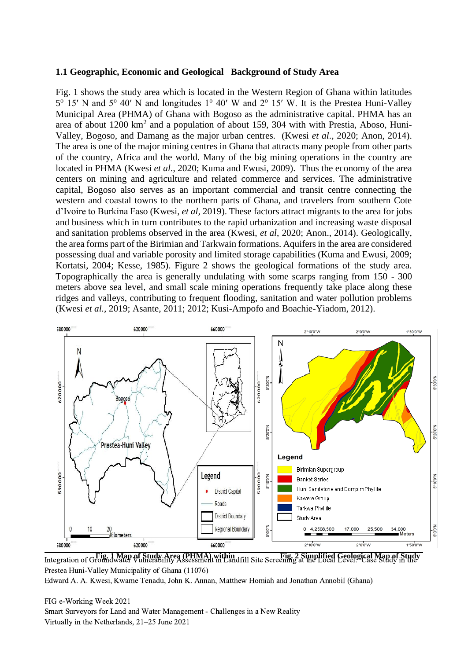#### **1.1 Geographic, Economic and Geological Background of Study Area**

Fig. 1 shows the study area which is located in the Western Region of Ghana within latitudes 5<sup>o</sup> 15' N and 5<sup>o</sup> 40' N and longitudes 1<sup>o</sup> 40' W and 2<sup>o</sup> 15' W. It is the Prestea Huni-Valley Municipal Area (PHMA) of Ghana with Bogoso as the administrative capital. PHMA has an area of about 1200 km<sup>2</sup> and a population of about 159, 304 with with Prestia, Aboso, Huni-Valley, Bogoso, and Damang as the major urban centres. (Kwesi *et al*., 2020; Anon, 2014). The area is one of the major mining centres in Ghana that attracts many people from other parts of the country, Africa and the world. Many of the big mining operations in the country are located in PHMA (Kwesi *et al*., 2020; Kuma and Ewusi, 2009). Thus the economy of the area centers on mining and agriculture and related commerce and services. The administrative capital, Bogoso also serves as an important commercial and transit centre connecting the western and coastal towns to the northern parts of Ghana, and travelers from southern Cote d'Ivoire to Burkina Faso (Kwesi, *et al,* 2019). These factors attract migrants to the area for jobs and business which in turn contributes to the rapid urbanization and increasing waste disposal and sanitation problems observed in the area (Kwesi, *et al*, 2020; Anon., 2014). Geologically, the area forms part of the Birimian and Tarkwain formations. Aquifers in the area are considered possessing dual and variable porosity and limited storage capabilities (Kuma and Ewusi, 2009; Kortatsi, 2004; Kesse, 1985). Figure 2 shows the geological formations of the study area. Topographically the area is generally undulating with some scarps ranging from 150 - 300 meters above sea level, and small scale mining operations frequently take place along these ridges and valleys, contributing to frequent flooding, sanitation and water pollution problems (Kwesi *et al.,* 2019; Asante, 2011; 2012; Kusi-Ampofo and Boachie-Yiadom, 2012).



**Fig. 2 Simplified Geological Map of Study**  $\alpha$ a Leven Case **Fig. 1 Map of Study Area (PHMA) within**<br>Integration of Groundwater Vulnerability Assessment in Landfill Site Screening at the Local Level: Case Study in the Prestea Huni-Valley Municipality of Ghana (11076) Edward A. A. Kwesi, Kwame Tenadu, John K. Annan, Matthew Homiah and Jonathan Annobil (Ghana)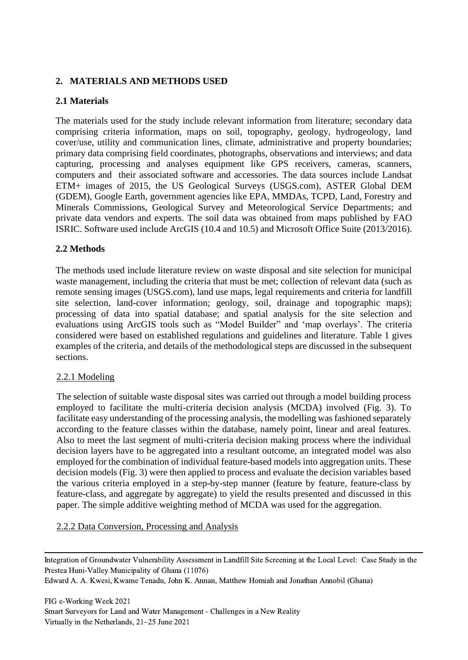# **2. MATERIALS AND METHODS USED**

# **2.1 Materials**

The materials used for the study include relevant information from literature; secondary data comprising criteria information, maps on soil, topography, geology, hydrogeology, land cover/use, utility and communication lines, climate, administrative and property boundaries; primary data comprising field coordinates, photographs, observations and interviews; and data capturing, processing and analyses equipment like GPS receivers, cameras, scanners, computers and their associated software and accessories. The data sources include Landsat ETM+ images of 2015, the US Geological Surveys (USGS.com), ASTER Global DEM (GDEM), Google Earth, government agencies like EPA, MMDAs, TCPD, Land, Forestry and Minerals Commissions, Geological Survey and Meteorological Service Departments; and private data vendors and experts. The soil data was obtained from maps published by FAO ISRIC. Software used include ArcGIS (10.4 and 10.5) and Microsoft Office Suite (2013/2016).

# **2.2 Methods**

The methods used include literature review on waste disposal and site selection for municipal waste management, including the criteria that must be met; collection of relevant data (such as remote sensing images (USGS.com), land use maps, legal requirements and criteria for landfill site selection, land-cover information; geology, soil, drainage and topographic maps); processing of data into spatial database; and spatial analysis for the site selection and evaluations using ArcGIS tools such as "Model Builder" and 'map overlays'. The criteria considered were based on established regulations and guidelines and literature. Table 1 gives examples of the criteria, and details of the methodological steps are discussed in the subsequent sections.

# 2.2.1 Modeling

The selection of suitable waste disposal sites was carried out through a model building process employed to facilitate the multi-criteria decision analysis (MCDA) involved (Fig. 3). To facilitate easy understanding of the processing analysis, the modelling was fashioned separately according to the feature classes within the database, namely point, linear and areal features. Also to meet the last segment of multi-criteria decision making process where the individual decision layers have to be aggregated into a resultant outcome, an integrated model was also employed for the combination of individual feature-based models into aggregation units. These decision models (Fig. 3) were then applied to process and evaluate the decision variables based the various criteria employed in a step-by-step manner (feature by feature, feature-class by feature-class, and aggregate by aggregate) to yield the results presented and discussed in this paper. The simple additive weighting method of MCDA was used for the aggregation.

# 2.2.2 Data Conversion, Processing and Analysis

Integration of Groundwater Vulnerability Assessment in Landfill Site Screening at the Local Level: Case Study in the Prestea Huni-Valley Municipality of Ghana (11076)

Edward A. A. Kwesi, Kwame Tenadu, John K. Annan, Matthew Homiah and Jonathan Annobil (Ghana)

FIG e-Working Week 2021 Smart Surveyors for Land and Water Management - Challenges in a New Reality Virtually in the Netherlands, 21–25 June 2021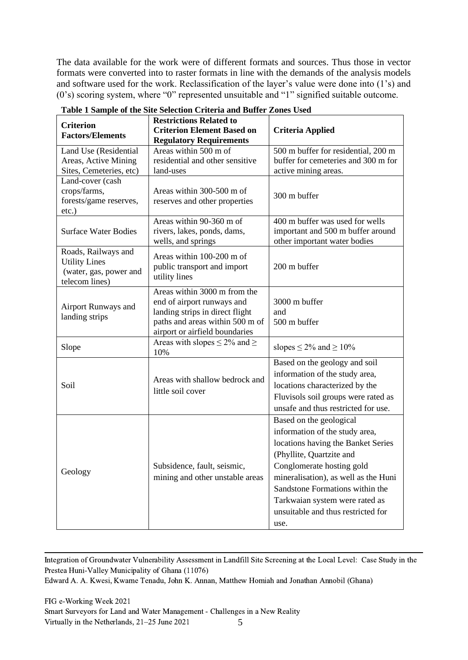The data available for the work were of different formats and sources. Thus those in vector formats were converted into to raster formats in line with the demands of the analysis models and software used for the work. Reclassification of the layer's value were done into (1's) and (0's) scoring system, where "0" represented unsuitable and "1" signified suitable outcome.

| <b>Criterion</b><br><b>Factors/Elements</b>                                             | <b>Restrictions Related to</b><br><b>Criterion Element Based on</b>                                                                                                | <b>Criteria Applied</b>                                                                                                                                                                                                                                                                                             |
|-----------------------------------------------------------------------------------------|--------------------------------------------------------------------------------------------------------------------------------------------------------------------|---------------------------------------------------------------------------------------------------------------------------------------------------------------------------------------------------------------------------------------------------------------------------------------------------------------------|
|                                                                                         | <b>Regulatory Requirements</b>                                                                                                                                     |                                                                                                                                                                                                                                                                                                                     |
| Land Use (Residential<br>Areas, Active Mining<br>Sites, Cemeteries, etc)                | Areas within 500 m of<br>residential and other sensitive<br>land-uses                                                                                              | 500 m buffer for residential, 200 m<br>buffer for cemeteries and 300 m for<br>active mining areas.                                                                                                                                                                                                                  |
| Land-cover (cash<br>crops/farms,<br>forests/game reserves,<br>$etc.$ )                  | Areas within 300-500 m of<br>reserves and other properties                                                                                                         | 300 m buffer                                                                                                                                                                                                                                                                                                        |
| <b>Surface Water Bodies</b>                                                             | Areas within 90-360 m of<br>rivers, lakes, ponds, dams,<br>wells, and springs                                                                                      | 400 m buffer was used for wells<br>important and 500 m buffer around<br>other important water bodies                                                                                                                                                                                                                |
| Roads, Railways and<br><b>Utility Lines</b><br>(water, gas, power and<br>telecom lines) | Areas within 100-200 m of<br>public transport and import<br>utility lines                                                                                          | 200 m buffer                                                                                                                                                                                                                                                                                                        |
| Airport Runways and<br>landing strips                                                   | Areas within 3000 m from the<br>end of airport runways and<br>landing strips in direct flight<br>paths and areas within 500 m of<br>airport or airfield boundaries | 3000 m buffer<br>and<br>500 m buffer                                                                                                                                                                                                                                                                                |
| Slope                                                                                   | Areas with slopes $\leq 2\%$ and $\geq$<br>10%                                                                                                                     | slopes $\leq 2\%$ and $\geq 10\%$                                                                                                                                                                                                                                                                                   |
| Soil                                                                                    | Areas with shallow bedrock and<br>little soil cover                                                                                                                | Based on the geology and soil<br>information of the study area,<br>locations characterized by the<br>Fluvisols soil groups were rated as<br>unsafe and thus restricted for use.                                                                                                                                     |
| Geology                                                                                 | Subsidence, fault, seismic,<br>mining and other unstable areas                                                                                                     | Based on the geological<br>information of the study area,<br>locations having the Banket Series<br>(Phyllite, Quartzite and<br>Conglomerate hosting gold<br>mineralisation), as well as the Huni<br>Sandstone Formations within the<br>Tarkwaian system were rated as<br>unsuitable and thus restricted for<br>use. |

**Table 1 Sample of the Site Selection Criteria and Buffer Zones Used** 

Integration of Groundwater Vulnerability Assessment in Landfill Site Screening at the Local Level: Case Study in the Prestea Huni-Valley Municipality of Ghana (11076) Edward A. A. Kwesi, Kwame Tenadu, John K. Annan, Matthew Homiah and Jonathan Annobil (Ghana)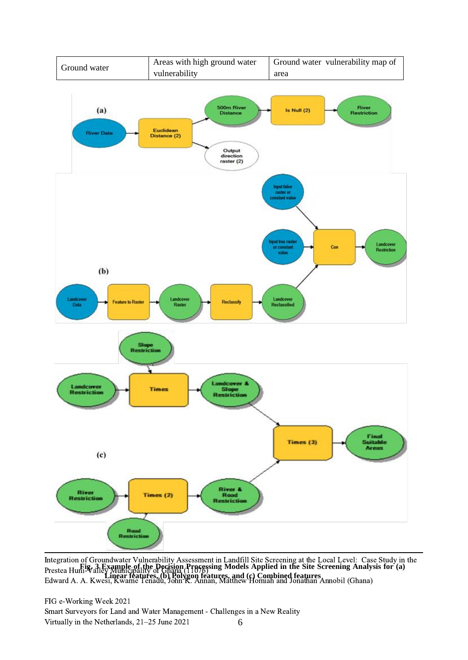

**Fig. 3 Example of the Decision Processing Models Applied in the Site Screening Analysis for (a) Linear features, (b) Polygon features, and (c) Combined features** Integration of Groundwater Vulnerability Assessment in Landfill Site Screening at the Local Level: Case Study in the Prestea Huni-Valley Municipality of Ghana (11076) Edward A. A. Kwesi, Kwame Tenadu, John K. Annan, Matthew Homiah and Jonathan Annobil (Ghana)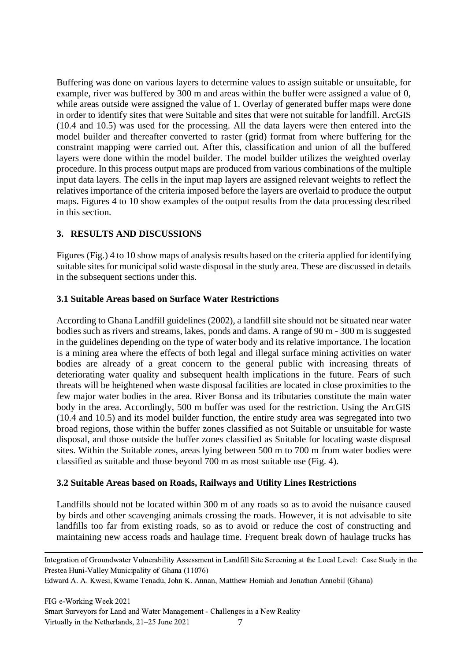Buffering was done on various layers to determine values to assign suitable or unsuitable, for example, river was buffered by 300 m and areas within the buffer were assigned a value of 0, while areas outside were assigned the value of 1. Overlay of generated buffer maps were done in order to identify sites that were Suitable and sites that were not suitable for landfill. ArcGIS (10.4 and 10.5) was used for the processing. All the data layers were then entered into the model builder and thereafter converted to raster (grid) format from where buffering for the constraint mapping were carried out. After this, classification and union of all the buffered layers were done within the model builder. The model builder utilizes the weighted overlay procedure. In this process output maps are produced from various combinations of the multiple input data layers. The cells in the input map layers are assigned relevant weights to reflect the relatives importance of the criteria imposed before the layers are overlaid to produce the output maps. Figures 4 to 10 show examples of the output results from the data processing described in this section.

# **3. RESULTS AND DISCUSSIONS**

Figures (Fig.) 4 to 10 show maps of analysis results based on the criteria applied for identifying suitable sites for municipal solid waste disposal in the study area. These are discussed in details in the subsequent sections under this.

# **3.1 Suitable Areas based on Surface Water Restrictions**

According to Ghana Landfill guidelines (2002), a landfill site should not be situated near water bodies such as rivers and streams, lakes, ponds and dams. A range of 90 m - 300 m is suggested in the guidelines depending on the type of water body and its relative importance. The location is a mining area where the effects of both legal and illegal surface mining activities on water bodies are already of a great concern to the general public with increasing threats of deteriorating water quality and subsequent health implications in the future. Fears of such threats will be heightened when waste disposal facilities are located in close proximities to the few major water bodies in the area. River Bonsa and its tributaries constitute the main water body in the area. Accordingly, 500 m buffer was used for the restriction. Using the ArcGIS (10.4 and 10.5) and its model builder function, the entire study area was segregated into two broad regions, those within the buffer zones classified as not Suitable or unsuitable for waste disposal, and those outside the buffer zones classified as Suitable for locating waste disposal sites. Within the Suitable zones, areas lying between 500 m to 700 m from water bodies were classified as suitable and those beyond 700 m as most suitable use (Fig. 4).

# **3.2 Suitable Areas based on Roads, Railways and Utility Lines Restrictions**

Landfills should not be located within 300 m of any roads so as to avoid the nuisance caused by birds and other scavenging animals crossing the roads. However, it is not advisable to site landfills too far from existing roads, so as to avoid or reduce the cost of constructing and maintaining new access roads and haulage time. Frequent break down of haulage trucks has

Integration of Groundwater Vulnerability Assessment in Landfill Site Screening at the Local Level: Case Study in the Prestea Huni-Valley Municipality of Ghana (11076)

Edward A. A. Kwesi, Kwame Tenadu, John K. Annan, Matthew Homiah and Jonathan Annobil (Ghana)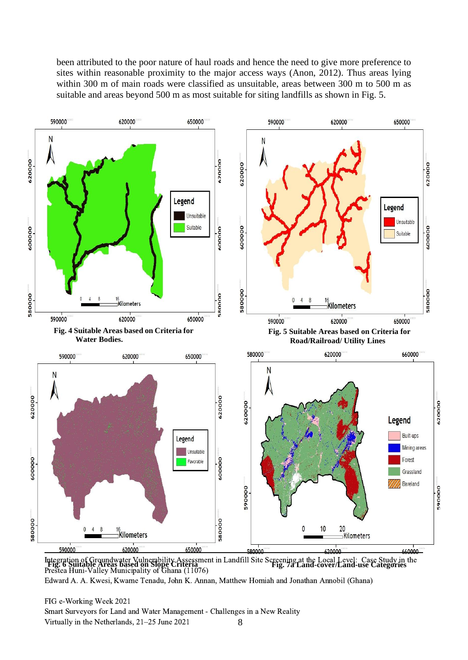been attributed to the poor nature of haul roads and hence the need to give more preference to sites within reasonable proximity to the major access ways (Anon, 2012). Thus areas lying within 300 m of main roads were classified as unsuitable, areas between 300 m to 500 m as suitable and areas beyond 500 m as most suitable for siting landfills as shown in Fig. 5.



Integration of Groundwater Vulnerability Assessment in Landfill Site Screening at the Local Level: Case Study in the<br>**Tig. 6 Suitable Areas based on Slope Criteria** Prestea Huni-Valley Municipality of Ghana (11076)

Edward A. A. Kwesi, Kwame Tenadu, John K. Annan, Matthew Homiah and Jonathan Annobil (Ghana)

8 FIG e-Working Week 2021 Smart Surveyors for Land and Water Management - Challenges in a New Reality Virtually in the Netherlands, 21–25 June 2021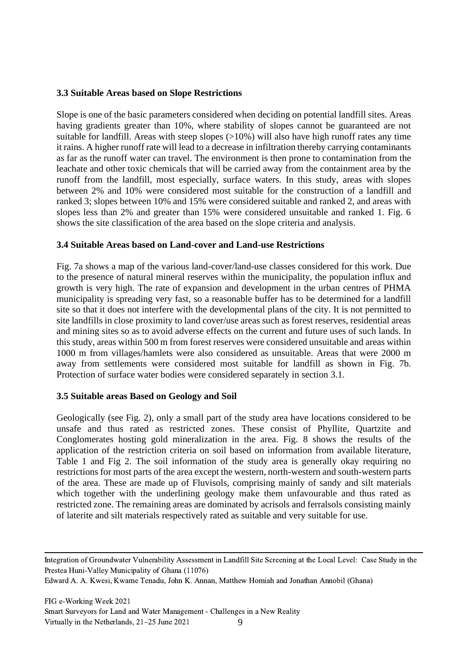#### **3.3 Suitable Areas based on Slope Restrictions**

Slope is one of the basic parameters considered when deciding on potential landfill sites. Areas having gradients greater than 10%, where stability of slopes cannot be guaranteed are not suitable for landfill. Areas with steep slopes  $(>10\%)$  will also have high runoff rates any time it rains. A higher runoff rate will lead to a decrease in infiltration thereby carrying contaminants as far as the runoff water can travel. The environment is then prone to contamination from the leachate and other toxic chemicals that will be carried away from the containment area by the runoff from the landfill, most especially, surface waters. In this study, areas with slopes between 2% and 10% were considered most suitable for the construction of a landfill and ranked 3; slopes between 10% and 15% were considered suitable and ranked 2, and areas with slopes less than 2% and greater than 15% were considered unsuitable and ranked 1. Fig. 6 shows the site classification of the area based on the slope criteria and analysis.

#### **3.4 Suitable Areas based on Land-cover and Land-use Restrictions**

Fig. 7a shows a map of the various land-cover/land-use classes considered for this work. Due to the presence of natural mineral reserves within the municipality, the population influx and growth is very high. The rate of expansion and development in the urban centres of PHMA municipality is spreading very fast, so a reasonable buffer has to be determined for a landfill site so that it does not interfere with the developmental plans of the city. It is not permitted to site landfills in close proximity to land cover/use areas such as forest reserves, residential areas and mining sites so as to avoid adverse effects on the current and future uses of such lands. In this study, areas within 500 m from forest reserves were considered unsuitable and areas within 1000 m from villages/hamlets were also considered as unsuitable. Areas that were 2000 m away from settlements were considered most suitable for landfill as shown in Fig. 7b. Protection of surface water bodies were considered separately in section 3.1.

#### **3.5 Suitable areas Based on Geology and Soil**

Geologically (see Fig. 2), only a small part of the study area have locations considered to be unsafe and thus rated as restricted zones. These consist of Phyllite, Quartzite and Conglomerates hosting gold mineralization in the area. Fig. 8 shows the results of the application of the restriction criteria on soil based on information from available literature, Table 1 and Fig 2. The soil information of the study area is generally okay requiring no restrictions for most parts of the area except the western, north-western and south-western parts of the area. These are made up of Fluvisols, comprising mainly of sandy and silt materials which together with the underlining geology make them unfavourable and thus rated as restricted zone. The remaining areas are dominated by acrisols and ferralsols consisting mainly of laterite and silt materials respectively rated as suitable and very suitable for use.

Integration of Groundwater Vulnerability Assessment in Landfill Site Screening at the Local Level: Case Study in the Prestea Huni-Valley Municipality of Ghana (11076)

Edward A. A. Kwesi, Kwame Tenadu, John K. Annan, Matthew Homiah and Jonathan Annobil (Ghana)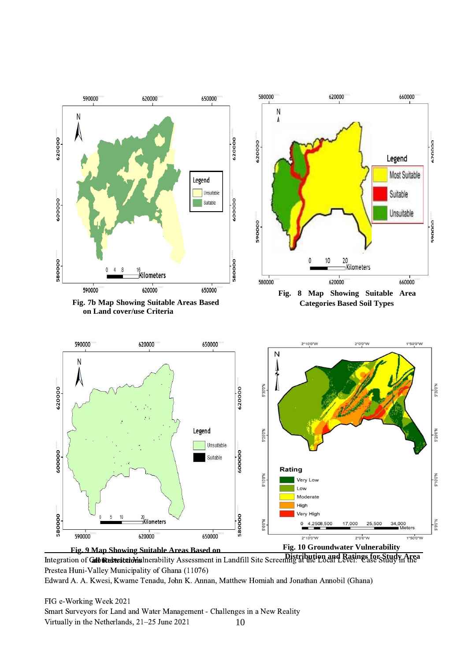

**Distribution and Ratings for Study Area Districts in Case Study Area Distribution and Ratings for Study Area** Integration of Gib Restrictions line Assessment in Landfill Site Screening at the Local Level: Case Study i Prestea Huni-Valley Municipality of Ghana (11076)

Edward A. A. Kwesi, Kwame Tenadu, John K. Annan, Matthew Homiah and Jonathan Annobil (Ghana)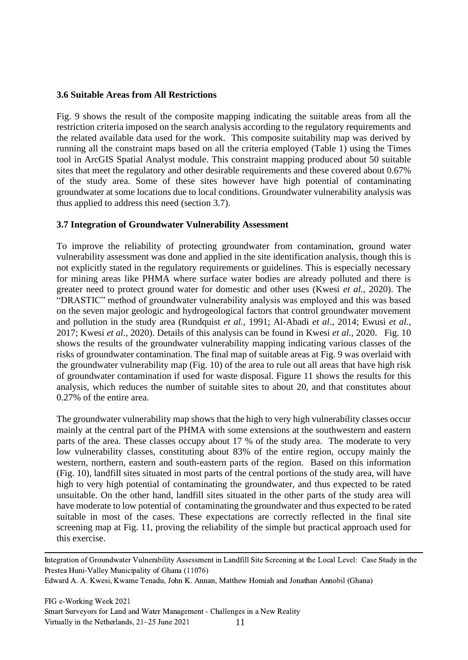#### **3.6 Suitable Areas from All Restrictions**

Fig. 9 shows the result of the composite mapping indicating the suitable areas from all the restriction criteria imposed on the search analysis according to the regulatory requirements and the related available data used for the work. This composite suitability map was derived by running all the constraint maps based on all the criteria employed (Table 1) using the Times tool in ArcGIS Spatial Analyst module. This constraint mapping produced about 50 suitable sites that meet the regulatory and other desirable requirements and these covered about 0.67% of the study area. Some of these sites however have high potential of contaminating groundwater at some locations due to local conditions. Groundwater vulnerability analysis was thus applied to address this need (section 3.7).

# **3.7 Integration of Groundwater Vulnerability Assessment**

To improve the reliability of protecting groundwater from contamination, ground water vulnerability assessment was done and applied in the site identification analysis, though this is not explicitly stated in the regulatory requirements or guidelines. This is especially necessary for mining areas like PHMA where surface water bodies are already polluted and there is greater need to protect ground water for domestic and other uses (Kwesi *et al.*, 2020). The "DRASTIC" method of groundwater vulnerability analysis was employed and this was based on the seven major geologic and hydrogeological factors that control groundwater movement and pollution in the study area (Rundquist *et al.,* 1991; Al-Abadi *et al*., 2014; Ewusi *et al.,* 2017; Kwesi *et al.*, 2020). Details of this analysis can be found in Kwesi *et al.*, 2020. Fig. 10 shows the results of the groundwater vulnerability mapping indicating various classes of the risks of groundwater contamination. The final map of suitable areas at Fig. 9 was overlaid with the groundwater vulnerability map (Fig. 10) of the area to rule out all areas that have high risk of groundwater contamination if used for waste disposal. Figure 11 shows the results for this analysis, which reduces the number of suitable sites to about 20, and that constitutes about 0.27% of the entire area.

The groundwater vulnerability map shows that the high to very high vulnerability classes occur mainly at the central part of the PHMA with some extensions at the southwestern and eastern parts of the area. These classes occupy about 17 % of the study area. The moderate to very low vulnerability classes, constituting about 83% of the entire region, occupy mainly the western, northern, eastern and south-eastern parts of the region. Based on this information (Fig. 10), landfill sites situated in most parts of the central portions of the study area, will have high to very high potential of contaminating the groundwater, and thus expected to be rated unsuitable. On the other hand, landfill sites situated in the other parts of the study area will have moderate to low potential of contaminating the groundwater and thus expected to be rated suitable in most of the cases. These expectations are correctly reflected in the final site screening map at Fig. 11, proving the reliability of the simple but practical approach used for this exercise.

Integration of Groundwater Vulnerability Assessment in Landfill Site Screening at the Local Level: Case Study in the Prestea Huni-Valley Municipality of Ghana (11076)

```
Edward A. A. Kwesi, Kwame Tenadu, John K. Annan, Matthew Homiah and Jonathan Annobil (Ghana)
```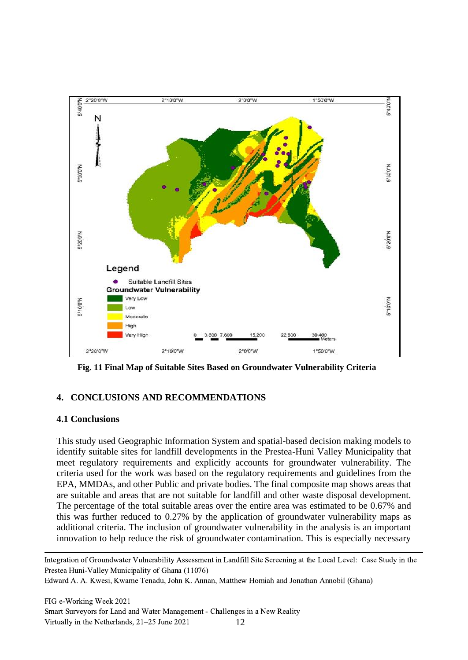

**Fig. 11 Final Map of Suitable Sites Based on Groundwater Vulnerability Criteria**

# **4. CONCLUSIONS AND RECOMMENDATIONS**

# **4.1 Conclusions**

This study used Geographic Information System and spatial-based decision making models to identify suitable sites for landfill developments in the Prestea-Huni Valley Municipality that meet regulatory requirements and explicitly accounts for groundwater vulnerability. The criteria used for the work was based on the regulatory requirements and guidelines from the EPA, MMDAs, and other Public and private bodies. The final composite map shows areas that are suitable and areas that are not suitable for landfill and other waste disposal development. The percentage of the total suitable areas over the entire area was estimated to be 0.67% and this was further reduced to 0.27% by the application of groundwater vulnerability maps as additional criteria. The inclusion of groundwater vulnerability in the analysis is an important innovation to help reduce the risk of groundwater contamination. This is especially necessary

Integration of Groundwater Vulnerability Assessment in Landfill Site Screening at the Local Level: Case Study in the Prestea Huni-Valley Municipality of Ghana (11076)

Edward A. A. Kwesi, Kwame Tenadu, John K. Annan, Matthew Homiah and Jonathan Annobil (Ghana)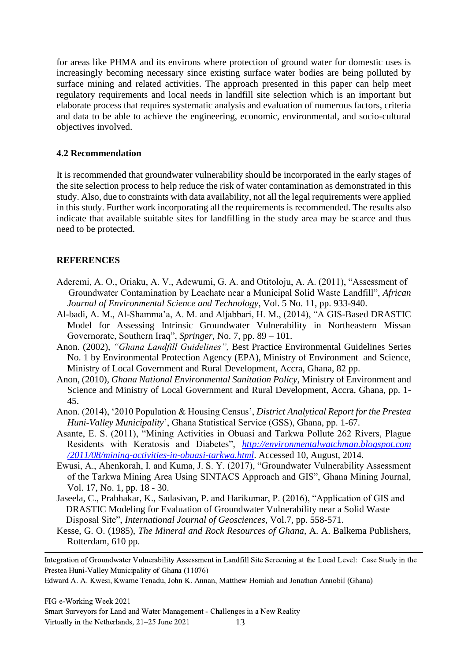for areas like PHMA and its environs where protection of ground water for domestic uses is increasingly becoming necessary since existing surface water bodies are being polluted by surface mining and related activities. The approach presented in this paper can help meet regulatory requirements and local needs in landfill site selection which is an important but elaborate process that requires systematic analysis and evaluation of numerous factors, criteria and data to be able to achieve the engineering, economic, environmental, and socio-cultural objectives involved.

#### **4.2 Recommendation**

It is recommended that groundwater vulnerability should be incorporated in the early stages of the site selection process to help reduce the risk of water contamination as demonstrated in this study. Also, due to constraints with data availability, not all the legal requirements were applied in this study. Further work incorporating all the requirements is recommended. The results also indicate that available suitable sites for landfilling in the study area may be scarce and thus need to be protected.

#### **REFERENCES**

- Aderemi, A. O., Oriaku, A. V., Adewumi, G. A. and Otitoloju, A. A. (2011), "Assessment of Groundwater Contamination by Leachate near a Municipal Solid Waste Landfill", *African Journal of Environmental Science and Technology*, Vol. 5 No. 11, pp. 933-940.
- Al-badi, A. M., Al-Shamma'a, A. M. and Aljabbari, H. M., (2014), "A GIS-Based DRASTIC Model for Assessing Intrinsic Groundwater Vulnerability in Northeastern Missan Governorate, Southern Iraq", *Springer*, No. 7, pp. 89 – 101.
- Anon. (2002), *"Ghana Landfill Guidelines",* Best Practice Environmental Guidelines Series No. 1 by Environmental Protection Agency (EPA), Ministry of Environment and Science, Ministry of Local Government and Rural Development, Accra, Ghana, 82 pp.
- Anon, (2010), *Ghana National Environmental Sanitation Policy*, Ministry of Environment and Science and Ministry of Local Government and Rural Development, Accra, Ghana, pp. 1- 45.
- Anon. (2014), '2010 Population & Housing Census', *District Analytical Report for the Prestea Huni-Valley Municipality*', Ghana Statistical Service (GSS), Ghana, pp. 1-67.
- Asante, E. S. (2011), "Mining Activities in Obuasi and Tarkwa Pollute 262 Rivers, Plague Residents with Keratosis and Diabetes", *http://environmentalwatchman.blogspot.com /2011/08/mining-activities-in-obuasi-tarkwa.html*. Accessed 10, August, 2014.
- Ewusi, A., Ahenkorah, I. and Kuma, J. S. Y. (2017), "Groundwater Vulnerability Assessment of the Tarkwa Mining Area Using SINTACS Approach and GIS", Ghana Mining Journal, Vol. 17, No. 1, pp. 18 - 30.
- Jaseela, C., Prabhakar, K., Sadasivan, P. and Harikumar, P. (2016), "Application of GIS and DRASTIC Modeling for Evaluation of Groundwater Vulnerability near a Solid Waste Disposal Site", *International Journal of Geosciences*, Vol.7, pp. 558-571.
- Kesse, G. O. (1985), *The Mineral and Rock Resources of Ghana,* A. A. Balkema Publishers, Rotterdam, 610 pp.

Integration of Groundwater Vulnerability Assessment in Landfill Site Screening at the Local Level: Case Study in the Prestea Huni-Valley Municipality of Ghana (11076)

Edward A. A. Kwesi, Kwame Tenadu, John K. Annan, Matthew Homiah and Jonathan Annobil (Ghana)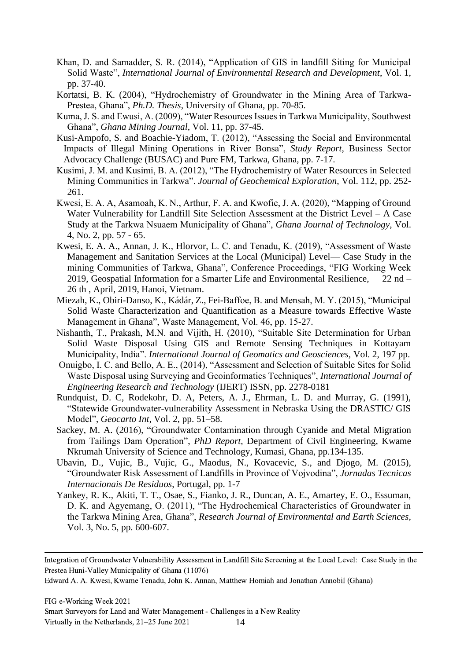- Khan, D. and Samadder, S. R. (2014), "Application of GIS in landfill Siting for Municipal Solid Waste", *International Journal of Environmental Research and Development*, Vol. 1, pp. 37-40.
- Kortatsi, B. K. (2004), "Hydrochemistry of Groundwater in the Mining Area of Tarkwa-Prestea, Ghana", *Ph.D. Thesis*, University of Ghana, pp. 70-85.
- Kuma, J. S. and Ewusi, A. (2009), "Water Resources Issues in Tarkwa Municipality, Southwest Ghana", *Ghana Mining Journal*, Vol. 11, pp. 37-45.
- Kusi-Ampofo, S. and Boachie-Yiadom, T. (2012), "Assessing the Social and Environmental Impacts of Illegal Mining Operations in River Bonsa", *Study Report,* Business Sector Advocacy Challenge (BUSAC) and Pure FM*,* Tarkwa, Ghana, pp. 7-17.
- Kusimi, J. M. and Kusimi, B. A. (2012), "The Hydrochemistry of Water Resources in Selected Mining Communities in Tarkwa". *Journal of Geochemical Exploration*, Vol. 112, pp. 252- 261.
- Kwesi, E. A. A, Asamoah, K. N., Arthur, F. A. and Kwofie, J. A. (2020), "Mapping of Ground Water Vulnerability for Landfill Site Selection Assessment at the District Level – A Case Study at the Tarkwa Nsuaem Municipality of Ghana", *Ghana Journal of Technology*, Vol. 4, No. 2, pp. 57 - 65.
- Kwesi, E. A. A., Annan, J. K., Hlorvor, L. C. and Tenadu, K. (2019), "Assessment of Waste Management and Sanitation Services at the Local (Municipal) Level— Case Study in the mining Communities of Tarkwa, Ghana", Conference Proceedings, "FIG Working Week 2019, Geospatial Information for a Smarter Life and Environmental Resilience, 22 nd – 26 th , April, 2019, Hanoi, Vietnam.
- Miezah, K., Obiri-Danso, K., Kádár, Z., Fei-Baffoe, B. and Mensah, M. Y. (2015), "Municipal Solid Waste Characterization and Quantification as a Measure towards Effective Waste Management in Ghana", Waste Management, Vol. 46, pp. 15-27.
- Nishanth, T., Prakash, M.N. and Vijith, H. (2010), "Suitable Site Determination for Urban Solid Waste Disposal Using GIS and Remote Sensing Techniques in Kottayam Municipality, India". *International Journal of Geomatics and Geosciences,* Vol. 2, 197 pp.
- Onuigbo, I. C. and Bello, A. E., (2014), "Assessment and Selection of Suitable Sites for Solid Waste Disposal using Surveying and Geoinformatics Techniques", *International Journal of Engineering Research and Technology* (IJERT) ISSN, pp. 2278-0181
- Rundquist, D. C, Rodekohr, D. A, Peters, A. J., Ehrman, L. D. and Murray, G. (1991), "Statewide Groundwater-vulnerability Assessment in Nebraska Using the DRASTIC/ GIS Model", *Geocarto Int,* Vol. 2, pp. 51–58.
- Sackey, M. A. (2016), "Groundwater Contamination through Cyanide and Metal Migration from Tailings Dam Operation", *PhD Report,* Department of Civil Engineering, Kwame Nkrumah University of Science and Technology, Kumasi, Ghana, pp.134-135.
- Ubavin, D., Vujic, B., Vujic, G., Maodus, N., Kovacevic, S., and Djogo, M. (2015), "Groundwater Risk Assessment of Landfills in Province of Vojvodina", *Jornadas Tecnicas Internacionais De Residuos*, Portugal, pp. 1-7
- Yankey, R. K., Akiti, T. T., Osae, S., Fianko, J. R., Duncan, A. E., Amartey, E. O., Essuman, D. K. and Agyemang, O. (2011), "The Hydrochemical Characteristics of Groundwater in the Tarkwa Mining Area, Ghana", *Research Journal of Environmental and Earth Sciences*, Vol. 3, No. 5, pp. 600-607.

Integration of Groundwater Vulnerability Assessment in Landfill Site Screening at the Local Level: Case Study in the Prestea Huni-Valley Municipality of Ghana (11076)

Edward A. A. Kwesi, Kwame Tenadu, John K. Annan, Matthew Homiah and Jonathan Annobil (Ghana)